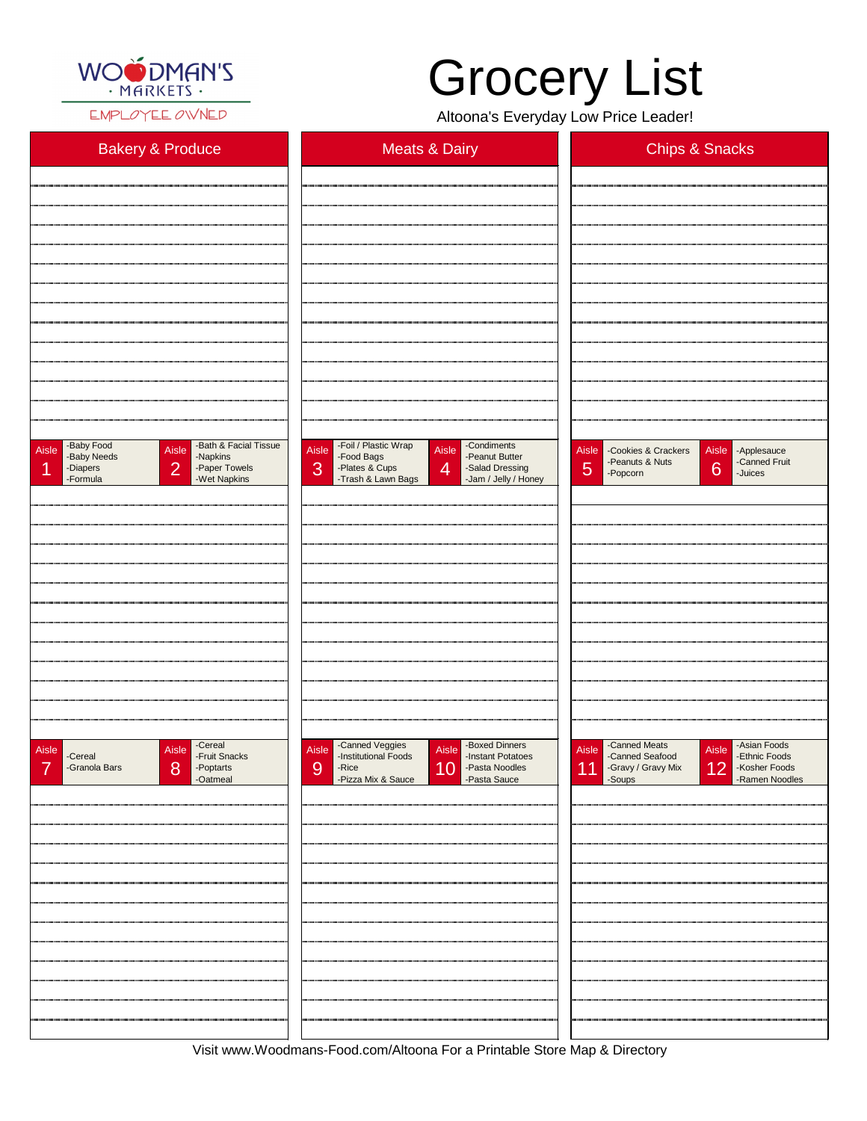

EMPLOYEE OWNED

## Grocery List

Altoona's Everyday Low Price Leader!

| <b>Bakery &amp; Produce</b>                                                                                                                                      | <b>Meats &amp; Dairy</b>                                                                                                                                                                        | <b>Chips &amp; Snacks</b>                                                                                            |
|------------------------------------------------------------------------------------------------------------------------------------------------------------------|-------------------------------------------------------------------------------------------------------------------------------------------------------------------------------------------------|----------------------------------------------------------------------------------------------------------------------|
|                                                                                                                                                                  |                                                                                                                                                                                                 |                                                                                                                      |
|                                                                                                                                                                  |                                                                                                                                                                                                 |                                                                                                                      |
|                                                                                                                                                                  |                                                                                                                                                                                                 |                                                                                                                      |
|                                                                                                                                                                  |                                                                                                                                                                                                 |                                                                                                                      |
|                                                                                                                                                                  |                                                                                                                                                                                                 |                                                                                                                      |
|                                                                                                                                                                  |                                                                                                                                                                                                 |                                                                                                                      |
|                                                                                                                                                                  |                                                                                                                                                                                                 |                                                                                                                      |
|                                                                                                                                                                  |                                                                                                                                                                                                 |                                                                                                                      |
|                                                                                                                                                                  |                                                                                                                                                                                                 |                                                                                                                      |
|                                                                                                                                                                  |                                                                                                                                                                                                 |                                                                                                                      |
|                                                                                                                                                                  |                                                                                                                                                                                                 |                                                                                                                      |
| -Bath & Facial Tissue<br>-Baby Food<br>Aisle<br>Aisle<br>-Baby Needs<br>-Napkins<br>$\overline{2}$<br>-Diapers<br>-Paper Towels<br>и<br>-Wet Napkins<br>-Formula | -Foil / Plastic Wrap<br>-Condiments<br>Aisle<br>Aisle<br>-Peanut Butter<br>-Food Bags<br>3<br>$\overline{4}$<br>-Plates & Cups<br>-Salad Dressing<br>-Trash & Lawn Bags<br>-Jam / Jelly / Honey | Aisle -Cookies & Crackers<br>Aisle - Applesauce<br>-Peanuts & Nuts<br>-Canned Fruit<br>6<br>5<br>-Popcorn<br>-Juices |
|                                                                                                                                                                  |                                                                                                                                                                                                 |                                                                                                                      |
|                                                                                                                                                                  |                                                                                                                                                                                                 |                                                                                                                      |
|                                                                                                                                                                  |                                                                                                                                                                                                 |                                                                                                                      |
|                                                                                                                                                                  |                                                                                                                                                                                                 |                                                                                                                      |
|                                                                                                                                                                  |                                                                                                                                                                                                 |                                                                                                                      |
|                                                                                                                                                                  |                                                                                                                                                                                                 |                                                                                                                      |
|                                                                                                                                                                  |                                                                                                                                                                                                 |                                                                                                                      |
|                                                                                                                                                                  |                                                                                                                                                                                                 |                                                                                                                      |
|                                                                                                                                                                  |                                                                                                                                                                                                 |                                                                                                                      |
|                                                                                                                                                                  |                                                                                                                                                                                                 |                                                                                                                      |
| -Cereal<br>-Fruit Snacks<br>Aisle<br>Aisle<br>-Cereal                                                                                                            | -Canned Veggies<br>-Institutional Foods<br>-Boxed Dinners<br>-Instant Potatoes<br>Aisle<br>Aisle                                                                                                | -Canned Meats<br>-Canned Seafood<br>-Asian Foods<br>Aisle<br>Aisle<br>-Ethnic Foods                                  |

| -Granola Bars<br>8<br>-Poptarts<br>-Oatmeal | 10<br>-Pasta Noodles<br>-Pasta Sauce<br><b>9</b><br>-Rice<br>-Pizza Mix & Sauce | -Gravy / Gravy Mix 12<br>-Kosher Foods<br>-Ramen Noodles<br>11 |
|---------------------------------------------|---------------------------------------------------------------------------------|----------------------------------------------------------------|
|                                             |                                                                                 |                                                                |
|                                             |                                                                                 |                                                                |
|                                             |                                                                                 |                                                                |
|                                             |                                                                                 |                                                                |
|                                             |                                                                                 |                                                                |
|                                             |                                                                                 |                                                                |
|                                             |                                                                                 |                                                                |
|                                             |                                                                                 |                                                                |
|                                             |                                                                                 |                                                                |
|                                             |                                                                                 |                                                                |
|                                             |                                                                                 |                                                                |

Visit www.Woodmans-Food.com/Altoona For a Printable Store Map & Directory